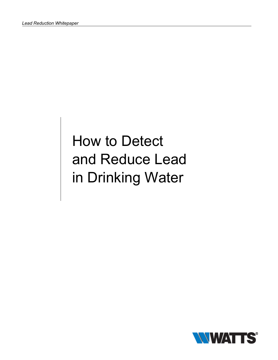# How to Detect and Reduce Lead in Drinking Water

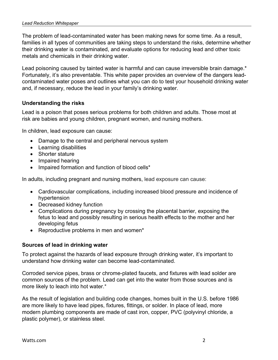The problem of lead-contaminated water has been making news for some time. As a result, families in all types of communities are taking steps to understand the risks, determine whether their drinking water is contaminated, and evaluate options for reducing lead and other toxic metals and chemicals in their drinking water.

Lead poisoning caused by tainted water is harmful and can cause irreversible brain damage.<sup>\*</sup> Fortunately, it's also preventable. This white paper provides an overview of the dangers leadcontaminated water poses and outlines what you can do to test your household drinking water and, if necessary, reduce the lead in your family's drinking water.

### **Understanding the risks**

Lead is a poison that poses serious problems for both children and adults. Those most at risk are babies and young children, pregnant women, and nursing mothers.

In children, lead exposure can cause:

- Damage to the central and peripheral nervous system
- Learning disabilities
- Shorter stature
- Impaired hearing
- Impaired formation and function of blood cells\*

In adults, including pregnant and nursing mothers, lead exposure can cause:

- Cardiovascular complications, including increased blood pressure and incidence of hypertension
- Decreased kidney function
- Complications during pregnancy by crossing the placental barrier, exposing the fetus to lead and possibly resulting in serious health effects to the mother and her developing fetus
- Reproductive problems in men and women\*

#### **Sources of lead in drinking water**

To protect against the hazards of lead exposure through drinking water, it's important to understand how drinking water can become lead-contaminated.

Corroded service pipes, brass or chrome-plated faucets, and fixtures with lead solder are common sources of the problem. Lead can get into the water from those sources and is more likely to leach into hot water.\*

As the result of legislation and building code changes, homes built in the U.S. before 1986 are more likely to have lead pipes, fixtures, fittings, or solder. In place of lead, more modern plumbing components are made of cast iron, copper, PVC (polyvinyl chloride, a plastic polymer), or stainless steel.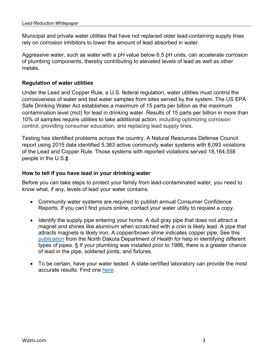Municipal and private water utilities that have not replaced older lead-containing supply lines rely on corrosion inhibitors to lower the amount of lead absorbed in water.

Aggressive water, such as water with a pH value below 6.5 pH units, can accelerate corrosion of plumbing components, thereby contributing to elevated levels of lead as well as other metals.

## **Regulation of water utilities**

Under the Lead and Copper Rule, a U.S. federal regulation, water utilities must control the corrosiveness of water and test water samples from sites served by the system. The US EPA Safe Drinking Water Act establishes a maximum of 15 parts per billion as the maximum contamination level (mcl) for lead in drinking water. Results of 15 parts per billion in more than 10% of samples require utilities to take additional action, including optimizing corrosion control, providing consumer education, and replacing lead supply lines.

Testing has identified problems across the country. A Natural Resources Defense Council report using 2015 data identified 5,363 active community water systems with 8,093 violations of the Lead and Copper Rule. Those systems with reported violations served 18,164,558 people in the U.S.**‡**

### **How to tell if you have lead in your drinking water**

Before you can take steps to protect your family from lead-contaminated water, you need to know what, if any, levels of lead your water contains.

- Community water systems are required to publish annual Consumer Confidence Reports. If you can't find yours online, contact your water utility to request a copy.
- Identify the supply pipe entering your home. A dull gray pipe that does not attract a magnet and shines like aluminum when scratched with a coin is likely lead. A pipe that attracts magnets is likely iron. A copper/brown shine indicates copper pipe. See this [publication](https://deq.nd.gov/publications/mf/IdentifyingLeadServiceLinesAndPlumbing.pdf) from the North Dakota Department of Health for help in identifying different types of pipes. § If your plumbing was installed prior to 1986, there is a greater chance of lead in the pipe, soldered joints, and fixtures.
- To be certain, have your water tested. A state-certified laboratory can provide the most accurate results. Find one [here.](https://www.epa.gov/dwlabcert/contact-information-certification-programs-and-certified-laboratories-drinking-water)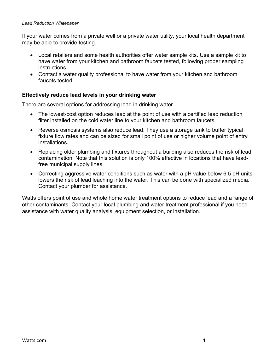If your water comes from a private well or a private water utility, your local health department may be able to provide testing.

- Local retailers and some health authorities offer water sample kits. Use a sample kit to have water from your kitchen and bathroom faucets tested, following proper sampling instructions.
- Contact a water quality professional to have water from your kitchen and bathroom faucets tested.

# **Effectively reduce lead levels in your drinking water**

There are several options for addressing lead in drinking water.

- The lowest-cost option reduces lead at the point of use with a certified lead reduction filter installed on the cold water line to your kitchen and bathroom faucets.
- Reverse osmosis systems also reduce lead. They use a storage tank to buffer typical fixture flow rates and can be sized for small point of use or higher volume point of entry installations.
- Replacing older plumbing and fixtures throughout a building also reduces the risk of lead contamination. Note that this solution is only 100% effective in locations that have leadfree municipal supply lines.
- Correcting aggressive water conditions such as water with a pH value below 6.5 pH units lowers the risk of lead leaching into the water. This can be done with specialized media. Contact your plumber for assistance.

Watts offers point of use and whole home water treatment options to reduce lead and a range of other contaminants. Contact your local plumbing and water treatment professional if you need assistance with water quality analysis, equipment selection, or installation.